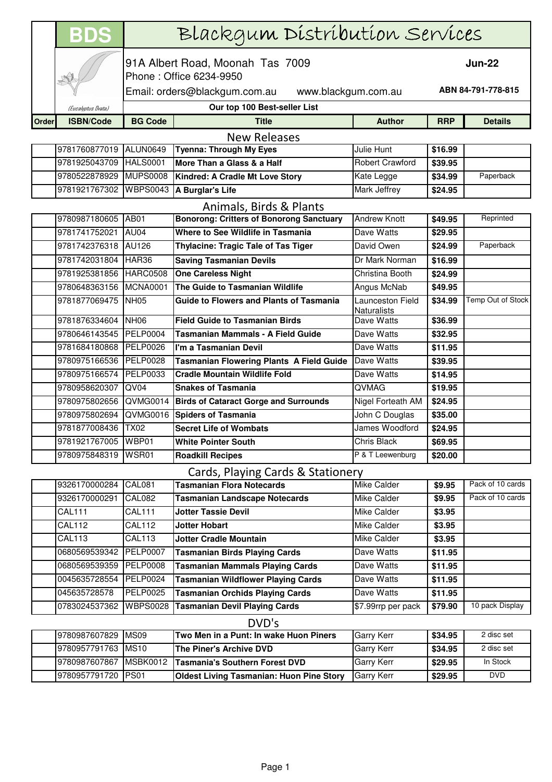|       | <b>BDS</b>                        | Blackgum Distribution Services                              |                                                 |                                        |               |                    |  |
|-------|-----------------------------------|-------------------------------------------------------------|-------------------------------------------------|----------------------------------------|---------------|--------------------|--|
|       |                                   | 91A Albert Road, Moonah Tas 7009<br>Phone: Office 6234-9950 |                                                 |                                        | <b>Jun-22</b> |                    |  |
|       |                                   | Email: orders@blackgum.com.au<br>www.blackgum.com.au        |                                                 |                                        |               | ABN 84-791-778-815 |  |
|       | (Eucalyptus Dvata)                |                                                             | Our top 100 Best-seller List                    |                                        |               |                    |  |
| Order | <b>ISBN/Code</b>                  | <b>BG Code</b>                                              | <b>Title</b>                                    | <b>Author</b>                          | <b>RRP</b>    | <b>Details</b>     |  |
|       | <b>New Releases</b>               |                                                             |                                                 |                                        |               |                    |  |
|       | 9781760877019 ALUN0649            |                                                             | <b>Tyenna: Through My Eyes</b>                  | Julie Hunt                             | \$16.99       |                    |  |
|       | 9781925043709                     | <b>HALS0001</b>                                             | More Than a Glass & a Half                      | <b>Robert Crawford</b>                 | \$39.95       |                    |  |
|       | 9780522878929                     | <b>MUPS0008</b>                                             | Kindred: A Cradle Mt Love Story                 | Kate Legge                             | \$34.99       | Paperback          |  |
|       | 9781921767302                     | <b>WBPS0043</b>                                             | A Burglar's Life                                | <b>Mark Jeffrey</b>                    | \$24.95       |                    |  |
|       |                                   |                                                             | Animals, Birds & Plants                         |                                        |               |                    |  |
|       | 9780987180605 AB01                |                                                             | <b>Bonorong: Critters of Bonorong Sanctuary</b> | <b>Andrew Knott</b>                    | \$49.95       | Reprinted          |  |
|       | 9781741752021                     | AU04                                                        | Where to See Wildlife in Tasmania               | Dave Watts                             | \$29.95       |                    |  |
|       | 9781742376318 AU126               |                                                             | <b>Thylacine: Tragic Tale of Tas Tiger</b>      | David Owen                             | \$24.99       | Paperback          |  |
|       | 9781742031804                     | HAR36                                                       | <b>Saving Tasmanian Devils</b>                  | Dr Mark Norman                         | \$16.99       |                    |  |
|       | 9781925381856                     | <b>HARC0508</b>                                             | <b>One Careless Night</b>                       | Christina Booth                        | \$24.99       |                    |  |
|       | 9780648363156                     | <b>MCNA0001</b>                                             | The Guide to Tasmanian Wildlife                 | Angus McNab                            | \$49.95       |                    |  |
|       | 9781877069475                     | NH <sub>05</sub>                                            | <b>Guide to Flowers and Plants of Tasmania</b>  | Launceston Field<br><b>Naturalists</b> | \$34.99       | Temp Out of Stock  |  |
|       | 9781876334604                     | <b>NH06</b>                                                 | <b>Field Guide to Tasmanian Birds</b>           | Dave Watts                             | \$36.99       |                    |  |
|       | 9780646143545 PELP0004            |                                                             | Tasmanian Mammals - A Field Guide               | Dave Watts                             | \$32.95       |                    |  |
|       | 9781684180868 PELP0026            |                                                             | I'm a Tasmanian Devil                           | Dave Watts                             | \$11.95       |                    |  |
|       | 9780975166536 PELP0028            |                                                             | <b>Tasmanian Flowering Plants A Field Guide</b> | Dave Watts                             | \$39.95       |                    |  |
|       | 9780975166574                     | <b>PELP0033</b>                                             | <b>Cradle Mountain Wildlife Fold</b>            | Dave Watts                             | \$14.95       |                    |  |
|       | 9780958620307                     | QV <sub>04</sub>                                            | <b>Snakes of Tasmania</b>                       | <b>QVMAG</b>                           | \$19.95       |                    |  |
|       | 9780975802656                     | QVMG0014                                                    | <b>Birds of Cataract Gorge and Surrounds</b>    | Nigel Forteath AM                      | \$24.95       |                    |  |
|       | 9780975802694                     | QVMG0016                                                    | <b>Spiders of Tasmania</b>                      | John C Douglas                         | \$35.00       |                    |  |
|       | 9781877008436                     | <b>TX02</b>                                                 | <b>Secret Life of Wombats</b>                   | James Woodford                         | \$24.95       |                    |  |
|       | 9781921767005 WBP01               |                                                             | <b>White Pointer South</b>                      | Chris Black                            | \$69.95       |                    |  |
|       | 9780975848319                     | WSR01                                                       | <b>Roadkill Recipes</b>                         | P & T Leewenburg                       | \$20.00       |                    |  |
|       | Cards, Playing Cards & Stationery |                                                             |                                                 |                                        |               |                    |  |
|       | 9326170000284                     | <b>CAL081</b>                                               | <b>Tasmanian Flora Notecards</b>                | <b>Mike Calder</b>                     | \$9.95        | Pack of 10 cards   |  |
|       | 9326170000291                     | <b>CAL082</b>                                               | <b>Tasmanian Landscape Notecards</b>            | <b>Mike Calder</b>                     | \$9.95        | Pack of 10 cards   |  |
|       | <b>CAL111</b>                     | <b>CAL111</b>                                               | <b>Jotter Tassie Devil</b>                      | Mike Calder                            | \$3.95        |                    |  |
|       | <b>CAL112</b>                     | <b>CAL112</b>                                               | <b>Jotter Hobart</b>                            | <b>Mike Calder</b>                     | \$3.95        |                    |  |
|       | <b>CAL113</b>                     | <b>CAL113</b>                                               | <b>Jotter Cradle Mountain</b>                   | <b>Mike Calder</b>                     | \$3.95        |                    |  |
|       | 0680569539342                     | <b>PELP0007</b>                                             | <b>Tasmanian Birds Playing Cards</b>            | Dave Watts                             | \$11.95       |                    |  |
|       | 0680569539359                     | <b>PELP0008</b>                                             | <b>Tasmanian Mammals Playing Cards</b>          | Dave Watts                             | \$11.95       |                    |  |
|       | 0045635728554                     | PELP0024                                                    | <b>Tasmanian Wildflower Playing Cards</b>       | Dave Watts                             | \$11.95       |                    |  |
|       | 045635728578                      | <b>PELP0025</b>                                             | <b>Tasmanian Orchids Playing Cards</b>          | Dave Watts                             | \$11.95       |                    |  |
|       | 0783024537362                     | <b>WBPS0028</b>                                             | <b>Tasmanian Devil Playing Cards</b>            | \$7.99rrp per pack                     | \$79.90       | 10 pack Display    |  |
|       | DVD's                             |                                                             |                                                 |                                        |               |                    |  |
|       | 9780987607829                     | <b>MS09</b>                                                 | Two Men in a Punt: In wake Huon Piners          | Garry Kerr                             | \$34.95       | 2 disc set         |  |
|       | 9780957791763                     | <b>MS10</b>                                                 | The Piner's Archive DVD                         | Garry Kerr                             | \$34.95       | 2 disc set         |  |

| 19190981001929 IMP09 |          | TTWO Men in a Punt: In wake Huon Piners         | <b>TGAITY Nerr</b> | აა4.95  | z ulsc set |
|----------------------|----------|-------------------------------------------------|--------------------|---------|------------|
| 19780957791763 IMS10 |          | <b>The Piner's Archive DVD</b>                  | <b>Garry Kerr</b>  | \$34.95 | 2 disc set |
| 9780987607867        | MSBK0012 | <b>Tasmania's Southern Forest DVD</b>           | <b>Garry Kerr</b>  | \$29.95 | In Stock   |
| 9780957791720 PS01   |          | <b>Oldest Living Tasmanian: Huon Pine Story</b> | <b>Garry Kerr</b>  | \$29.95 | <b>DVD</b> |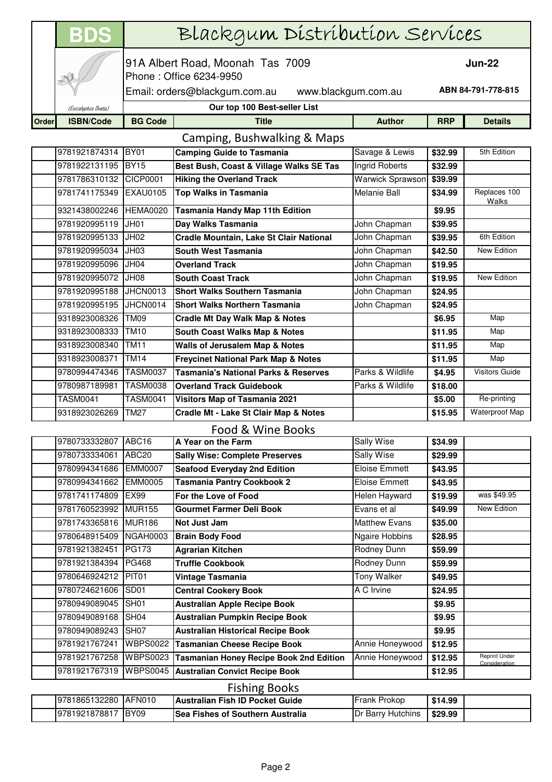|       | <b>BDS</b>                  | Blackgum Distribution Services                              |                                                  |                         |                    |                                       |  |
|-------|-----------------------------|-------------------------------------------------------------|--------------------------------------------------|-------------------------|--------------------|---------------------------------------|--|
|       |                             | 91A Albert Road, Moonah Tas 7009<br>Phone: Office 6234-9950 |                                                  |                         | <b>Jun-22</b>      |                                       |  |
|       |                             | Email: orders@blackgum.com.au<br>www.blackgum.com.au        |                                                  |                         | ABN 84-791-778-815 |                                       |  |
|       | (Eucalyptus Dvata)          |                                                             | Our top 100 Best-seller List                     |                         |                    |                                       |  |
| Order | <b>ISBN/Code</b>            | <b>BG Code</b>                                              | <b>Title</b>                                     | <b>Author</b>           | <b>RRP</b>         | <b>Details</b>                        |  |
|       | Camping, Bushwalking & Maps |                                                             |                                                  |                         |                    |                                       |  |
|       | 9781921874314               | BY01                                                        | <b>Camping Guide to Tasmania</b>                 | Savage & Lewis          | \$32.99            | 5th Edition                           |  |
|       | 9781922131195               | <b>BY15</b>                                                 | Best Bush, Coast & Village Walks SE Tas          | Ingrid Roberts          | \$32.99            |                                       |  |
|       | 9781786310132               | CICP0001                                                    | <b>Hiking the Overland Track</b>                 | <b>Warwick Sprawson</b> | \$39.99            |                                       |  |
|       | 9781741175349               | <b>EXAU0105</b>                                             | <b>Top Walks in Tasmania</b>                     | Melanie Ball            | \$34.99            | Replaces 100<br>Walks                 |  |
|       | 9321438002246               | <b>HEMA0020</b>                                             | <b>Tasmania Handy Map 11th Edition</b>           |                         | \$9.95             |                                       |  |
|       | 9781920995119               | JH01                                                        | Day Walks Tasmania                               | John Chapman            | \$39.95            |                                       |  |
|       | 9781920995133               | JH02                                                        | Cradle Mountain, Lake St Clair National          | John Chapman            | \$39.95            | 6th Edition                           |  |
|       | 9781920995034               | JH03                                                        | South West Tasmania                              | John Chapman            | \$42.50            | New Edition                           |  |
|       | 9781920995096 JH04          |                                                             | <b>Overland Track</b>                            | John Chapman            | \$19.95            |                                       |  |
|       | 9781920995072               | JH08                                                        | <b>South Coast Track</b>                         | John Chapman            | \$19.95            | New Edition                           |  |
|       | 9781920995188 JHCN0013      |                                                             | <b>Short Walks Southern Tasmania</b>             | John Chapman            | \$24.95            |                                       |  |
|       | 9781920995195               | <b>JHCN0014</b>                                             | <b>Short Walks Northern Tasmania</b>             | John Chapman            | \$24.95            |                                       |  |
|       | 9318923008326               | <b>TM09</b>                                                 | <b>Cradle Mt Day Walk Map &amp; Notes</b>        |                         | \$6.95             | Map                                   |  |
|       | 9318923008333               | <b>TM10</b>                                                 | <b>South Coast Walks Map &amp; Notes</b>         |                         | \$11.95            | Map                                   |  |
|       | 9318923008340               | <b>TM11</b>                                                 | Walls of Jerusalem Map & Notes                   |                         | \$11.95            | Map                                   |  |
|       | 9318923008371               | <b>TM14</b>                                                 | <b>Freycinet National Park Map &amp; Notes</b>   |                         | \$11.95            | Map                                   |  |
|       | 9780994474346               | <b>TASM0037</b>                                             | <b>Tasmania's National Parks &amp; Reserves</b>  | Parks & Wildlife        | \$4.95             | <b>Visitors Guide</b>                 |  |
|       | 9780987189981               | <b>TASM0038</b>                                             | <b>Overland Track Guidebook</b>                  | Parks & Wildlife        | \$18.00            |                                       |  |
|       | <b>TASM0041</b>             | <b>TASM0041</b>                                             | <b>Visitors Map of Tasmania 2021</b>             |                         | \$5.00             | Re-printing                           |  |
|       | 9318923026269               | <b>TM27</b>                                                 | <b>Cradle Mt - Lake St Clair Map &amp; Notes</b> |                         | \$15.95            | Waterproof Map                        |  |
|       |                             |                                                             | Food & Wine Books                                |                         |                    |                                       |  |
|       | 9780733332807 ABC16         |                                                             | A Year on the Farm                               | Sally Wise              | \$34.99            |                                       |  |
|       | 9780733334061               | ABC20                                                       | <b>Sally Wise: Complete Preserves</b>            | Sally Wise              | \$29.99            |                                       |  |
|       | 9780994341686               | <b>EMM0007</b>                                              | <b>Seafood Everyday 2nd Edition</b>              | <b>Eloise Emmett</b>    | \$43.95            |                                       |  |
|       | 9780994341662               | <b>EMM0005</b>                                              | <b>Tasmania Pantry Cookbook 2</b>                | Eloise Emmett           | \$43.95            |                                       |  |
|       | 9781741174809               | <b>EX99</b>                                                 | For the Love of Food                             | Helen Hayward           | \$19.99            | was \$49.95                           |  |
|       | 9781760523992 MUR155        |                                                             | <b>Gourmet Farmer Deli Book</b>                  | Evans et al             | \$49.99            | <b>New Edition</b>                    |  |
|       | 9781743365816               | <b>MUR186</b>                                               | Not Just Jam                                     | <b>Matthew Evans</b>    | \$35.00            |                                       |  |
|       | 9780648915409               | NGAH0003                                                    | <b>Brain Body Food</b>                           | <b>Ngaire Hobbins</b>   | \$28.95            |                                       |  |
|       | 9781921382451               | <b>PG173</b>                                                | <b>Agrarian Kitchen</b>                          | Rodney Dunn             | \$59.99            |                                       |  |
|       | 9781921384394               | PG468                                                       | <b>Truffle Cookbook</b>                          | Rodney Dunn             | \$59.99            |                                       |  |
|       | 9780646924212 PIT01         |                                                             | Vintage Tasmania                                 | <b>Tony Walker</b>      | \$49.95            |                                       |  |
|       | 9780724621606               | SD <sub>01</sub>                                            | <b>Central Cookery Book</b>                      | A C Irvine              | \$24.95            |                                       |  |
|       | 9780949089045               | SH <sub>01</sub>                                            | <b>Australian Apple Recipe Book</b>              |                         | \$9.95             |                                       |  |
|       | 9780949089168               | <b>SH04</b>                                                 | <b>Australian Pumpkin Recipe Book</b>            |                         | \$9.95             |                                       |  |
|       | 9780949089243 SH07          |                                                             | <b>Australian Historical Recipe Book</b>         |                         | \$9.95             |                                       |  |
|       | 9781921767241               | <b>WBPS0022</b>                                             | <b>Tasmanian Cheese Recipe Book</b>              | Annie Honeywood         | \$12.95            |                                       |  |
|       | 9781921767258               | <b>WBPS0023</b>                                             | <b>Tasmanian Honey Recipe Book 2nd Edition</b>   | Annie Honeywood         | \$12.95            | <b>Reprint Under</b><br>Consideration |  |
|       | 9781921767319               | <b>WBPS0045</b>                                             | <b>Australian Convict Recipe Book</b>            |                         | \$12.95            |                                       |  |
|       | <b>Fishing Books</b>        |                                                             |                                                  |                         |                    |                                       |  |
|       | 9781865132280               | <b>AFN010</b>                                               | <b>Australian Fish ID Pocket Guide</b>           | Frank Prokop            | \$14.99            |                                       |  |
|       | 9781921878817               | <b>BY09</b>                                                 | Sea Fishes of Southern Australia                 | Dr Barry Hutchins       | \$29.99            |                                       |  |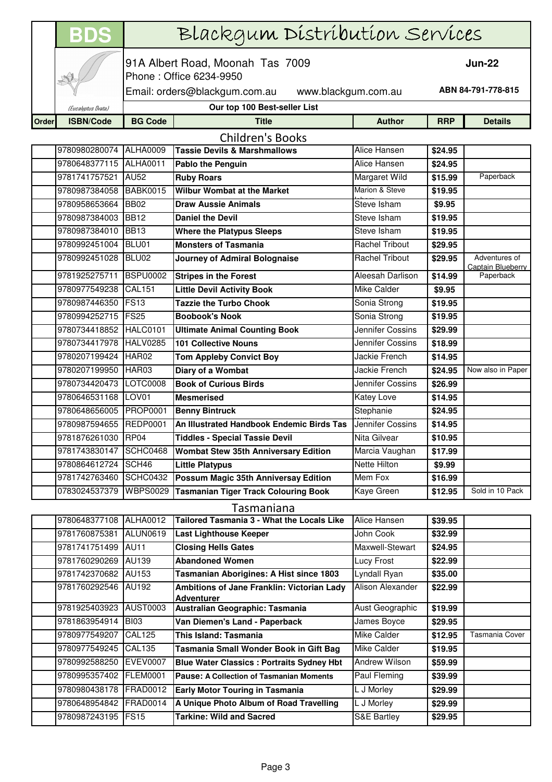|       | <b>BDS</b>                     | Blackgum Distribution Services                                             |                                                                              |                              |                    |                                |
|-------|--------------------------------|----------------------------------------------------------------------------|------------------------------------------------------------------------------|------------------------------|--------------------|--------------------------------|
|       |                                |                                                                            | 91A Albert Road, Moonah Tas 7009<br><b>Jun-22</b><br>Phone: Office 6234-9950 |                              |                    |                                |
|       |                                | ABN 84-791-778-815<br>Email: orders@blackgum.com.au<br>www.blackgum.com.au |                                                                              |                              |                    |                                |
|       | (Eucalyptus Dvata)             |                                                                            | Our top 100 Best-seller List                                                 |                              |                    |                                |
| Order | <b>ISBN/Code</b>               | <b>BG Code</b>                                                             | <b>Title</b>                                                                 | <b>Author</b>                | <b>RRP</b>         | <b>Details</b>                 |
|       |                                |                                                                            | <b>Children's Books</b>                                                      |                              |                    |                                |
|       | 9780980280074                  | <b>ALHA0009</b>                                                            | <b>Tassie Devils &amp; Marshmallows</b>                                      | Alice Hansen                 | \$24.95            |                                |
|       | 9780648377115                  | ALHA0011                                                                   | <b>Pablo the Penguin</b>                                                     | Alice Hansen                 | \$24.95            |                                |
|       | 9781741757521                  | <b>AU52</b>                                                                | <b>Ruby Roars</b>                                                            | Margaret Wild                | \$15.99            | Paperback                      |
|       | 9780987384058                  | <b>BABK0015</b>                                                            | <b>Wilbur Wombat at the Market</b>                                           | Marion & Steve               | \$19.95            |                                |
|       | 9780958653664                  | <b>BB02</b>                                                                | <b>Draw Aussie Animals</b>                                                   | Steve Isham                  | \$9.95             |                                |
|       | 9780987384003                  | <b>BB12</b>                                                                | <b>Daniel the Devil</b>                                                      | Steve Isham                  | \$19.95            |                                |
|       | 9780987384010                  | <b>BB13</b>                                                                | <b>Where the Platypus Sleeps</b>                                             | Steve Isham                  | \$19.95            |                                |
|       | 9780992451004 BLU01            |                                                                            | <b>Monsters of Tasmania</b>                                                  | <b>Rachel Tribout</b>        | \$29.95            |                                |
|       | 9780992451028                  | BLU02                                                                      | <b>Journey of Admiral Bolognaise</b>                                         | <b>Rachel Tribout</b>        | \$29.95            | Adventures of                  |
|       |                                | <b>BSPU0002</b>                                                            |                                                                              | Aleesah Darlison             |                    | Captain Blueberry<br>Paperback |
|       | 9781925275711<br>9780977549238 | <b>CAL151</b>                                                              | <b>Stripes in the Forest</b>                                                 | Mike Calder                  | \$14.99            |                                |
|       | 9780987446350                  | FS <sub>13</sub>                                                           | <b>Little Devil Activity Book</b><br><b>Tazzie the Turbo Chook</b>           |                              | \$9.95             |                                |
|       | 9780994252715 FS25             |                                                                            |                                                                              | Sonia Strong<br>Sonia Strong | \$19.95            |                                |
|       | 9780734418852                  | <b>HALC0101</b>                                                            | <b>Boobook's Nook</b>                                                        | Jennifer Cossins             | \$19.95            |                                |
|       | 9780734417978                  | HALV0285                                                                   | <b>Ultimate Animal Counting Book</b><br><b>101 Collective Nouns</b>          | Jennifer Cossins             | \$29.99            |                                |
|       | 9780207199424                  | HAR02                                                                      |                                                                              | Jackie French                | \$18.99            |                                |
|       | 9780207199950                  | HAR03                                                                      | <b>Tom Appleby Convict Boy</b>                                               | Jackie French                | \$14.95            | Now also in Paper              |
|       | 9780734420473                  | LOTC0008                                                                   | Diary of a Wombat<br><b>Book of Curious Birds</b>                            | Jennifer Cossins             | \$24.95<br>\$26.99 |                                |
|       | 9780646531168                  | LOV01                                                                      | <b>Mesmerised</b>                                                            | Katey Love                   | \$14.95            |                                |
|       | 9780648656005                  | <b>PROP0001</b>                                                            | <b>Benny Bintruck</b>                                                        | Stephanie                    | \$24.95            |                                |
|       | 9780987594655                  | <b>REDP0001</b>                                                            | An Illustrated Handbook Endemic Birds Tas                                    | Jennifer Cossins             | \$14.95            |                                |
|       | 9781876261030                  | RP04                                                                       | <b>Tiddles - Special Tassie Devil</b>                                        | Nita Gilvear                 | \$10.95            |                                |
|       | 9781743830147                  | SCHC0468                                                                   | <b>Wombat Stew 35th Anniversary Edition</b>                                  | Marcia Vaughan               | \$17.99            |                                |
|       | 9780864612724                  | SCH46                                                                      | <b>Little Platypus</b>                                                       | Nette Hilton                 | \$9.99             |                                |
|       | 9781742763460                  | SCHC0432                                                                   | Possum Magic 35th Anniversay Edition                                         | Mem Fox                      | \$16.99            |                                |
|       | 0783024537379                  | <b>WBPS0029</b>                                                            | <b>Tasmanian Tiger Track Colouring Book</b>                                  | Kaye Green                   | \$12.95            | Sold in 10 Pack                |
|       |                                |                                                                            |                                                                              |                              |                    |                                |
|       | 9780648377108                  | <b>ALHA0012</b>                                                            | Tasmaniana<br>Tailored Tasmania 3 - What the Locals Like                     | Alice Hansen                 | \$39.95            |                                |
|       | 9781760875381                  | <b>ALUN0619</b>                                                            | <b>Last Lighthouse Keeper</b>                                                | John Cook                    | \$32.99            |                                |
|       | 9781741751499                  | <b>AU11</b>                                                                | <b>Closing Hells Gates</b>                                                   | Maxwell-Stewart              | \$24.95            |                                |
|       | 9781760290269                  | <b>AU139</b>                                                               | <b>Abandoned Women</b>                                                       | Lucy Frost                   | \$22.99            |                                |
|       | 9781742370682                  | AU153                                                                      | Tasmanian Aborigines: A Hist since 1803                                      | Lyndall Ryan                 | \$35.00            |                                |
|       | 9781760292546                  | AU192                                                                      | Ambitions of Jane Franklin: Victorian Lady                                   | Alison Alexander             | \$22.99            |                                |
|       |                                |                                                                            | <b>Adventurer</b>                                                            |                              |                    |                                |
|       | 9781925403923                  | <b>AUST0003</b>                                                            | Australian Geographic: Tasmania                                              | Aust Geographic              | \$19.99            |                                |
|       | 9781863954914                  | <b>BI03</b>                                                                | Van Diemen's Land - Paperback                                                | James Boyce                  | \$29.95            |                                |
|       | 9780977549207                  | <b>CAL125</b>                                                              | This Island: Tasmania                                                        | Mike Calder                  | \$12.95            | Tasmania Cover                 |
|       | 9780977549245                  | <b>CAL135</b>                                                              | Tasmania Small Wonder Book in Gift Bag                                       | Mike Calder                  | \$19.95            |                                |
|       | 9780992588250                  | <b>EVEV0007</b>                                                            | <b>Blue Water Classics : Portraits Sydney Hbt</b>                            | Andrew Wilson                | \$59.99            |                                |
|       | 9780995357402                  | <b>FLEM0001</b>                                                            | <b>Pause: A Collection of Tasmanian Moments</b>                              | Paul Fleming                 | \$39.99            |                                |
|       | 9780980438178                  | <b>FRAD0012</b>                                                            | <b>Early Motor Touring in Tasmania</b>                                       | L J Morley                   | \$29.99            |                                |
|       | 9780648954842                  | FRAD0014                                                                   | A Unique Photo Album of Road Travelling                                      | L J Morley                   | \$29.99            |                                |
|       | 9780987243195                  | FS <sub>15</sub>                                                           | <b>Tarkine: Wild and Sacred</b>                                              | S&E Bartley                  | \$29.95            |                                |